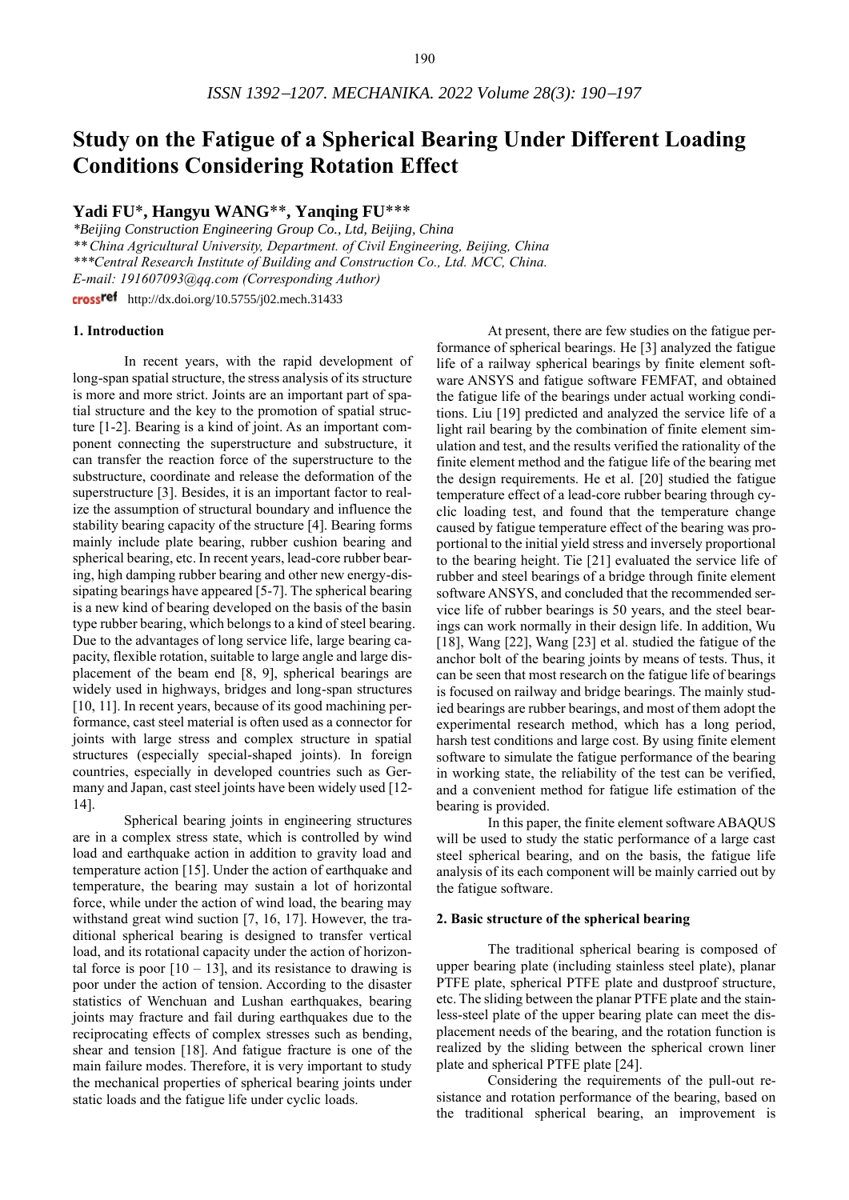# **Study on the Fatigue of a Spherical Bearing Under Different Loading Conditions Considering Rotation Effect**

# **Yadi FU**\***, Hangyu WANG**\*\***, Yanqing FU**\*\*\*

*\*Beijing Construction Engineering Group Co., Ltd, Beijing, China \*\* China Agricultural University, Department. of Civil Engineering, Beijing, China \*\*\*Central Research Institute of Building and Construction Co., Ltd. MCC, China. E-mail: 191607093@qq.com (Corresponding Author)* crossref http://dx.doi.org/10.5755/j02.mech.31433

#### **1. Introduction**

In recent years, with the rapid development of long-span spatial structure, the stress analysis of its structure is more and more strict. Joints are an important part of spatial structure and the key to the promotion of spatial structure [1-2]. Bearing is a kind of joint. As an important component connecting the superstructure and substructure, it can transfer the reaction force of the superstructure to the substructure, coordinate and release the deformation of the superstructure [3]. Besides, it is an important factor to realize the assumption of structural boundary and influence the stability bearing capacity of the structure [4]. Bearing forms mainly include plate bearing, rubber cushion bearing and spherical bearing, etc. In recent years, lead-core rubber bearing, high damping rubber bearing and other new energy-dissipating bearings have appeared [5-7]. The spherical bearing is a new kind of bearing developed on the basis of the basin type rubber bearing, which belongs to a kind of steel bearing. Due to the advantages of long service life, large bearing capacity, flexible rotation, suitable to large angle and large displacement of the beam end [8, 9], spherical bearings are widely used in highways, bridges and long-span structures [10, 11]. In recent years, because of its good machining performance, cast steel material is often used as a connector for joints with large stress and complex structure in spatial structures (especially special-shaped joints). In foreign countries, especially in developed countries such as Germany and Japan, cast steel joints have been widely used [12- 14].

Spherical bearing joints in engineering structures are in a complex stress state, which is controlled by wind load and earthquake action in addition to gravity load and temperature action [15]. Under the action of earthquake and temperature, the bearing may sustain a lot of horizontal force, while under the action of wind load, the bearing may withstand great wind suction [7, 16, 17]. However, the traditional spherical bearing is designed to transfer vertical load, and its rotational capacity under the action of horizontal force is poor  $[10 - 13]$ , and its resistance to drawing is poor under the action of tension. According to the disaster statistics of Wenchuan and Lushan earthquakes, bearing joints may fracture and fail during earthquakes due to the reciprocating effects of complex stresses such as bending, shear and tension [18]. And fatigue fracture is one of the main failure modes. Therefore, it is very important to study the mechanical properties of spherical bearing joints under static loads and the fatigue life under cyclic loads.

At present, there are few studies on the fatigue performance of spherical bearings. He [3] analyzed the fatigue life of a railway spherical bearings by finite element software ANSYS and fatigue software FEMFAT, and obtained the fatigue life of the bearings under actual working conditions. Liu [19] predicted and analyzed the service life of a light rail bearing by the combination of finite element simulation and test, and the results verified the rationality of the finite element method and the fatigue life of the bearing met the design requirements. He et al. [20] studied the fatigue temperature effect of a lead-core rubber bearing through cyclic loading test, and found that the temperature change caused by fatigue temperature effect of the bearing was proportional to the initial yield stress and inversely proportional to the bearing height. Tie [21] evaluated the service life of rubber and steel bearings of a bridge through finite element software ANSYS, and concluded that the recommended service life of rubber bearings is 50 years, and the steel bearings can work normally in their design life. In addition, Wu [18], Wang [22], Wang [23] et al. studied the fatigue of the anchor bolt of the bearing joints by means of tests. Thus, it can be seen that most research on the fatigue life of bearings is focused on railway and bridge bearings. The mainly studied bearings are rubber bearings, and most of them adopt the experimental research method, which has a long period, harsh test conditions and large cost. By using finite element software to simulate the fatigue performance of the bearing in working state, the reliability of the test can be verified, and a convenient method for fatigue life estimation of the bearing is provided.

In this paper, the finite element software ABAQUS will be used to study the static performance of a large cast steel spherical bearing, and on the basis, the fatigue life analysis of its each component will be mainly carried out by the fatigue software.

#### **2. Basic structure of the spherical bearing**

The traditional spherical bearing is composed of upper bearing plate (including stainless steel plate), planar PTFE plate, spherical PTFE plate and dustproof structure, etc. The sliding between the planar PTFE plate and the stainless-steel plate of the upper bearing plate can meet the displacement needs of the bearing, and the rotation function is realized by the sliding between the spherical crown liner plate and spherical PTFE plate [24].

Considering the requirements of the pull-out resistance and rotation performance of the bearing, based on the traditional spherical bearing, an improvement is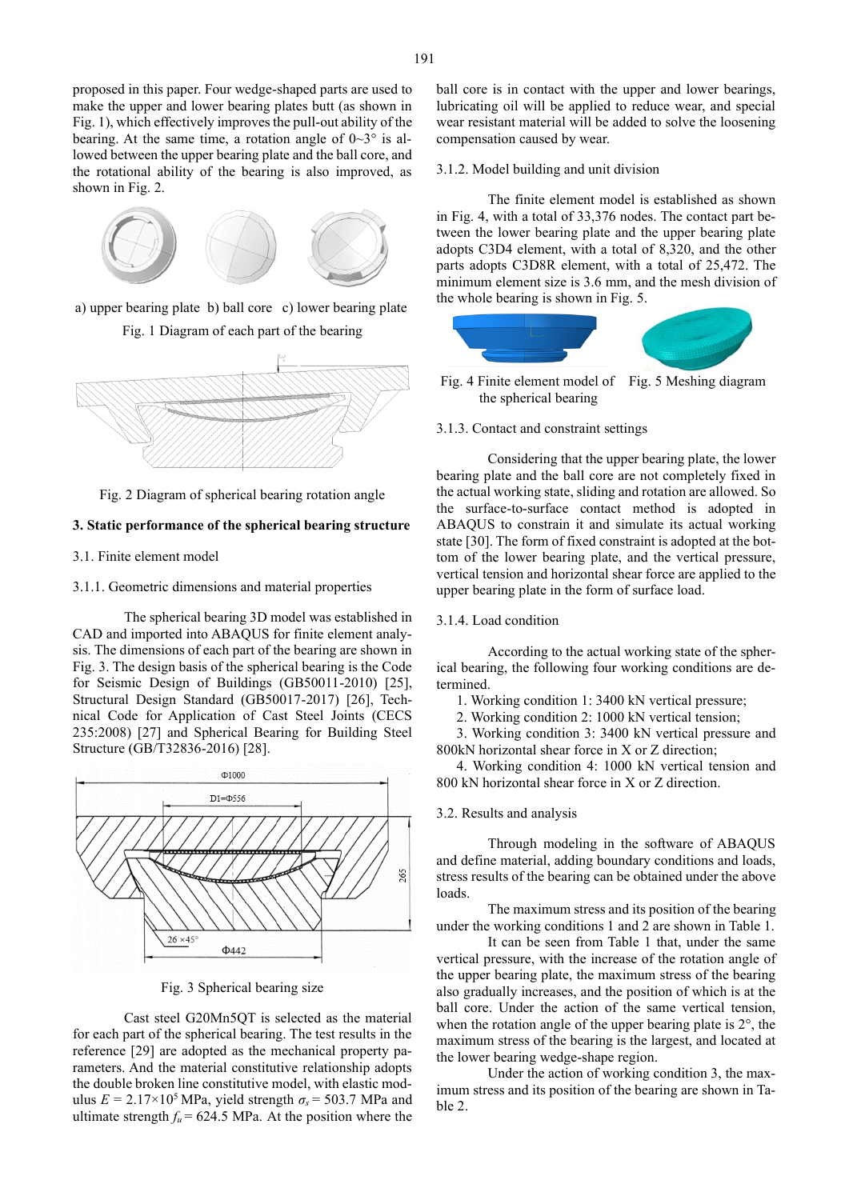proposed in this paper. Four wedge-shaped parts are used to make the upper and lower bearing plates butt (as shown in Fig. 1), which effectively improves the pull-out ability of the bearing. At the same time, a rotation angle of  $0 \sim 3^{\circ}$  is allowed between the upper bearing plate and the ball core, and the rotational ability of the bearing is also improved, as shown in Fig. 2.



a) upper bearing plate b) ball core c) lower bearing plate

Fig. 1 Diagram of each part of the bearing



Fig. 2 Diagram of spherical bearing rotation angle

# **3. Static performance of the spherical bearing structure**

3.1. Finite element model

3.1.1. Geometric dimensions and material properties

The spherical bearing 3D model was established in CAD and imported into ABAQUS for finite element analysis. The dimensions of each part of the bearing are shown in Fig. 3. The design basis of the spherical bearing is the Code for Seismic Design of Buildings (GB50011-2010) [25], Structural Design Standard (GB50017-2017) [26], Technical Code for Application of Cast Steel Joints (CECS 235:2008) [27] and Spherical Bearing for Building Steel Structure (GB/T32836-2016) [28].



Fig. 3 Spherical bearing size

Cast steel G20Mn5QT is selected as the material for each part of the spherical bearing. The test results in the reference [29] are adopted as the mechanical property parameters. And the material constitutive relationship adopts the double broken line constitutive model, with elastic modulus  $E = 2.17 \times 10^5$  MPa, yield strength  $\sigma_s = 503.7$  MPa and ultimate strength  $f_u = 624.5$  MPa. At the position where the ball core is in contact with the upper and lower bearings, lubricating oil will be applied to reduce wear, and special wear resistant material will be added to solve the loosening compensation caused by wear.

## 3.1.2. Model building and unit division

The finite element model is established as shown in Fig. 4, with a total of 33,376 nodes. The contact part between the lower bearing plate and the upper bearing plate adopts C3D4 element, with a total of 8,320, and the other parts adopts C3D8R element, with a total of 25,472. The minimum element size is 3.6 mm, and the mesh division of the whole bearing is shown in Fig. 5.



Fig. 4 Finite element model of Fig. 5 Meshing diagram the spherical bearing

3.1.3. Contact and constraint settings

Considering that the upper bearing plate, the lower bearing plate and the ball core are not completely fixed in the actual working state, sliding and rotation are allowed. So the surface-to-surface contact method is adopted in ABAQUS to constrain it and simulate its actual working state [30]. The form of fixed constraint is adopted at the bottom of the lower bearing plate, and the vertical pressure, vertical tension and horizontal shear force are applied to the upper bearing plate in the form of surface load.

## 3.1.4. Load condition

According to the actual working state of the spherical bearing, the following four working conditions are determined.

1. Working condition 1: 3400 kN vertical pressure;

2. Working condition 2: 1000 kN vertical tension;

3. Working condition 3: 3400 kN vertical pressure and 800kN horizontal shear force in X or Z direction;

4. Working condition 4: 1000 kN vertical tension and 800 kN horizontal shear force in X or Z direction.

#### 3.2. Results and analysis

Through modeling in the software of ABAQUS and define material, adding boundary conditions and loads, stress results of the bearing can be obtained under the above loads.

The maximum stress and its position of the bearing under the working conditions 1 and 2 are shown in Table 1.

It can be seen from Table 1 that, under the same vertical pressure, with the increase of the rotation angle of the upper bearing plate, the maximum stress of the bearing also gradually increases, and the position of which is at the ball core. Under the action of the same vertical tension, when the rotation angle of the upper bearing plate is 2°, the maximum stress of the bearing is the largest, and located at the lower bearing wedge-shape region.

Under the action of working condition 3, the maximum stress and its position of the bearing are shown in Table 2.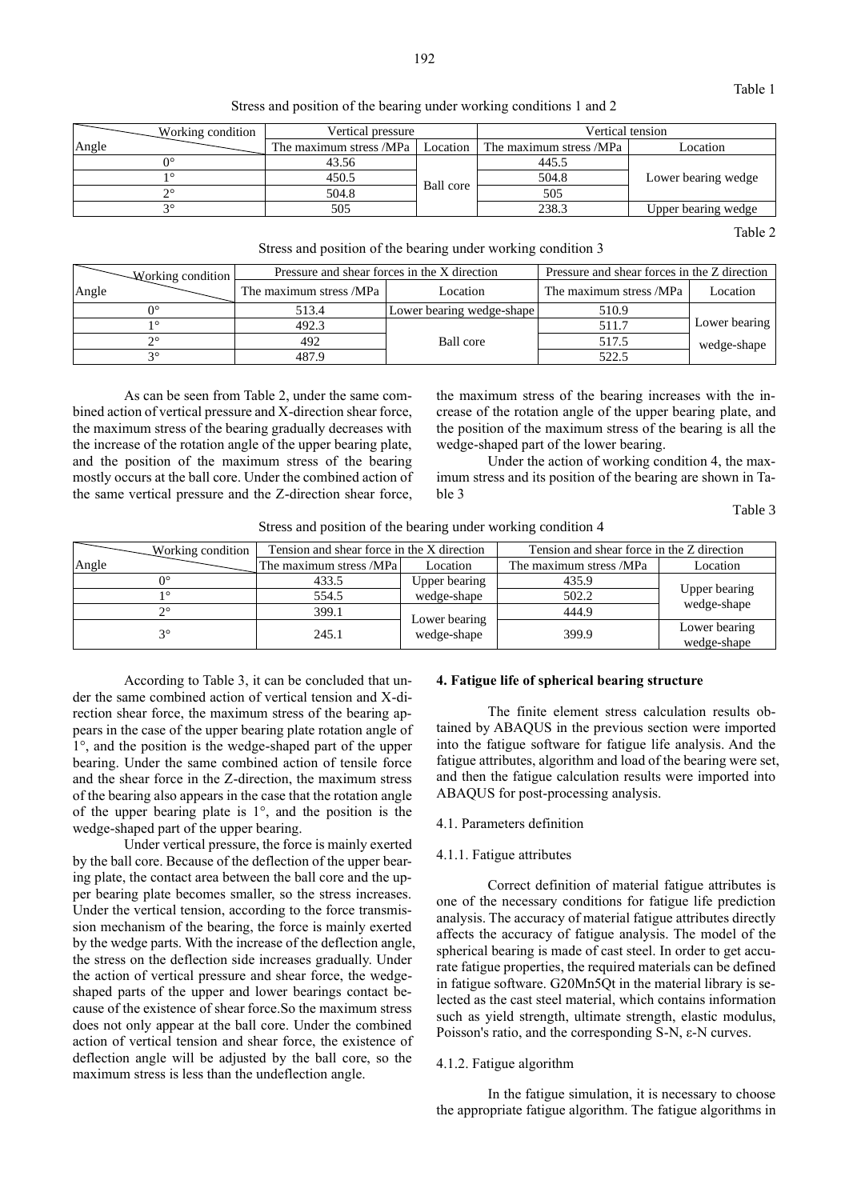Stress and position of the bearing under working conditions 1 and 2

|       | Working condition | Vertical pressure       |           | Vertical tension        |                     |  |
|-------|-------------------|-------------------------|-----------|-------------------------|---------------------|--|
| Angle |                   | The maximum stress /MPa | Location  | The maximum stress /MPa | Location            |  |
|       | n٥                | 43.56                   |           | 445.5                   | Lower bearing wedge |  |
|       | 10                | 450.5                   |           | 504.8                   |                     |  |
|       | າິ                | 504.8                   | Ball core | 505                     |                     |  |
|       | າ                 | 505                     |           | 238.3                   | Upper bearing wedge |  |

Table 2

Stress and position of the bearing under working condition 3

| Working condition     |                         | Pressure and shear forces in the X direction | Pressure and shear forces in the Z direction |               |
|-----------------------|-------------------------|----------------------------------------------|----------------------------------------------|---------------|
| Angle                 | The maximum stress /MPa | Location                                     | The maximum stress /MPa                      | Location      |
|                       | 513.4                   | Lower bearing wedge-shape                    | 510.9                                        |               |
|                       | 492.3                   |                                              | 511.7                                        | Lower bearing |
| $\mathcal{D}^{\circ}$ | 492                     | Ball core                                    | 517.5                                        | wedge-shape   |
| $\Omega$              | 487.9                   |                                              | 522.5                                        |               |

As can be seen from Table 2, under the same combined action of vertical pressure and X-direction shear force, the maximum stress of the bearing gradually decreases with the increase of the rotation angle of the upper bearing plate, and the position of the maximum stress of the bearing mostly occurs at the ball core. Under the combined action of the same vertical pressure and the Z-direction shear force,

the maximum stress of the bearing increases with the increase of the rotation angle of the upper bearing plate, and the position of the maximum stress of the bearing is all the wedge-shaped part of the lower bearing.

Under the action of working condition 4, the maximum stress and its position of the bearing are shown in Table 3

Table 3

| Stress and position of the bearing under working condition 4 |                                                                                                                                                                                                                               |
|--------------------------------------------------------------|-------------------------------------------------------------------------------------------------------------------------------------------------------------------------------------------------------------------------------|
|                                                              | The Contract and the contract of the Contract of the Contract of the Contract of the Contract of the Contract of the Contract of the Contract of the Contract of the Contract of the Contract of the Contract of the Contract |

|       | Working condition | Tension and shear force in the X direction |                              | Tension and shear force in the Z direction |                              |  |
|-------|-------------------|--------------------------------------------|------------------------------|--------------------------------------------|------------------------------|--|
| Angle |                   | The maximum stress /MPa                    | Location                     | The maximum stress /MPa                    | Location                     |  |
|       |                   | 433.5                                      | Upper bearing                | 435.9                                      |                              |  |
|       |                   | 554.5                                      | wedge-shape                  | 502.2                                      | Upper bearing<br>wedge-shape |  |
|       |                   | 399.1                                      |                              | 444.9                                      |                              |  |
|       | $2^{\circ}$       | 245.1                                      | Lower bearing<br>wedge-shape | 399.9                                      | Lower bearing<br>wedge-shape |  |

According to Table 3, it can be concluded that under the same combined action of vertical tension and X-direction shear force, the maximum stress of the bearing appears in the case of the upper bearing plate rotation angle of 1°, and the position is the wedge-shaped part of the upper bearing. Under the same combined action of tensile force and the shear force in the Z-direction, the maximum stress of the bearing also appears in the case that the rotation angle of the upper bearing plate is 1°, and the position is the wedge-shaped part of the upper bearing.

Under vertical pressure, the force is mainly exerted by the ball core. Because of the deflection of the upper bearing plate, the contact area between the ball core and the upper bearing plate becomes smaller, so the stress increases. Under the vertical tension, according to the force transmission mechanism of the bearing, the force is mainly exerted by the wedge parts. With the increase of the deflection angle, the stress on the deflection side increases gradually. Under the action of vertical pressure and shear force, the wedgeshaped parts of the upper and lower bearings contact because of the existence of shear force.So the maximum stress does not only appear at the ball core. Under the combined action of vertical tension and shear force, the existence of deflection angle will be adjusted by the ball core, so the maximum stress is less than the undeflection angle.

## **4. Fatigue life of spherical bearing structure**

The finite element stress calculation results obtained by ABAQUS in the previous section were imported into the fatigue software for fatigue life analysis. And the fatigue attributes, algorithm and load of the bearing were set, and then the fatigue calculation results were imported into ABAQUS for post-processing analysis.

4.1. Parameters definition

#### 4.1.1. Fatigue attributes

Correct definition of material fatigue attributes is one of the necessary conditions for fatigue life prediction analysis. The accuracy of material fatigue attributes directly affects the accuracy of fatigue analysis. The model of the spherical bearing is made of cast steel. In order to get accurate fatigue properties, the required materials can be defined in fatigue software. G20Mn5Qt in the material library is selected as the cast steel material, which contains information such as yield strength, ultimate strength, elastic modulus, Poisson's ratio, and the corresponding S-N, ε-N curves.

#### 4.1.2. Fatigue algorithm

In the fatigue simulation, it is necessary to choose the appropriate fatigue algorithm. The fatigue algorithms in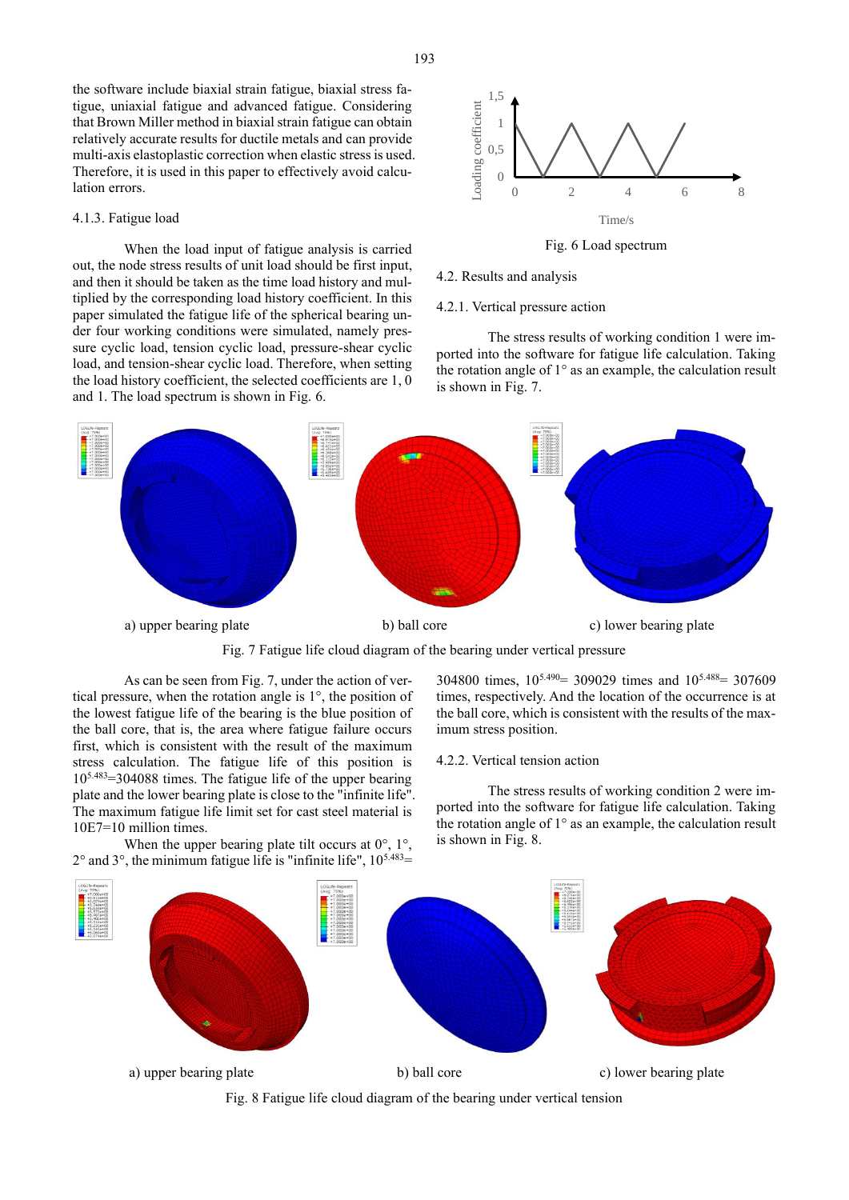the software include biaxial strain fatigue, biaxial stress fatigue, uniaxial fatigue and advanced fatigue. Considering that Brown Miller method in biaxial strain fatigue can obtain relatively accurate results for ductile metals and can provide multi-axis elastoplastic correction when elastic stress is used. Therefore, it is used in this paper to effectively avoid calculation errors.

#### 4.1.3. Fatigue load

When the load input of fatigue analysis is carried out, the node stress results of unit load should be first input, and then it should be taken as the time load history and multiplied by the corresponding load history coefficient. In this paper simulated the fatigue life of the spherical bearing under four working conditions were simulated, namely pressure cyclic load, tension cyclic load, pressure-shear cyclic load, and tension-shear cyclic load. Therefore, when setting the load history coefficient, the selected coefficients are 1, 0 and 1. The load spectrum is shown in Fig. 6.



Fig. 6 Load spectrum

4.2. Results and analysis

4.2.1. Vertical pressure action

The stress results of working condition 1 were imported into the software for fatigue life calculation. Taking the rotation angle of 1° as an example, the calculation result is shown in Fig. 7.



Fig. 7 Fatigue life cloud diagram of the bearing under vertical pressure

As can be seen from Fig. 7, under the action of vertical pressure, when the rotation angle is 1°, the position of the lowest fatigue life of the bearing is the blue position of the ball core, that is, the area where fatigue failure occurs first, which is consistent with the result of the maximum stress calculation. The fatigue life of this position is 105.483=304088 times. The fatigue life of the upper bearing plate and the lower bearing plate is close to the "infinite life". The maximum fatigue life limit set for cast steel material is 10E7=10 million times. When the upper bearing plate tilt occurs at  $0^\circ$ ,  $1^\circ$ ,

304800 times, 105.490= 309029 times and 105.488= 307609 times, respectively. And the location of the occurrence is at the ball core, which is consistent with the results of the maximum stress position.

# 4.2.2. Vertical tension action

The stress results of working condition 2 were imported into the software for fatigue life calculation. Taking the rotation angle of 1° as an example, the calculation result is shown in Fig. 8.



Fig. 8 Fatigue life cloud diagram of the bearing under vertical tension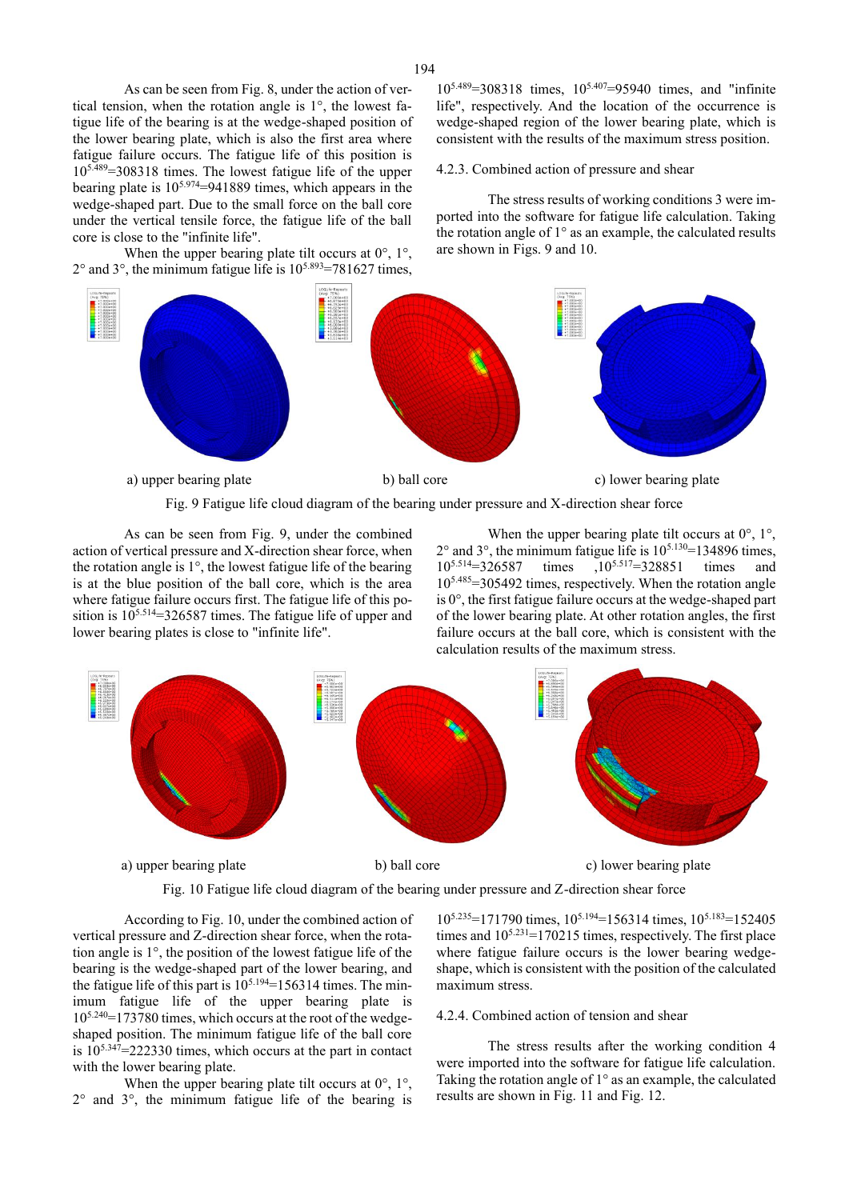As can be seen from Fig. 8, under the action of vertical tension, when the rotation angle is 1°, the lowest fatigue life of the bearing is at the wedge-shaped position of the lower bearing plate, which is also the first area where fatigue failure occurs. The fatigue life of this position is 105.489=308318 times. The lowest fatigue life of the upper bearing plate is  $10^{5.974}$ =941889 times, which appears in the wedge-shaped part. Due to the small force on the ball core under the vertical tensile force, the fatigue life of the ball core is close to the "infinite life".

When the upper bearing plate tilt occurs at  $0^\circ$ ,  $1^\circ$ ,  $2^{\circ}$  and  $3^{\circ}$ , the minimum fatigue life is  $10^{5.893}$ =781627 times,

105.489=308318 times, 105.407=95940 times, and "infinite life", respectively. And the location of the occurrence is wedge-shaped region of the lower bearing plate, which is consistent with the results of the maximum stress position.

## 4.2.3. Combined action of pressure and shear

The stress results of working conditions 3 were imported into the software for fatigue life calculation. Taking the rotation angle of 1° as an example, the calculated results are shown in Figs. 9 and 10.



Fig. 9 Fatigue life cloud diagram of the bearing under pressure and X-direction shear force

As can be seen from Fig. 9, under the combined action of vertical pressure and X-direction shear force, when the rotation angle is 1°, the lowest fatigue life of the bearing is at the blue position of the ball core, which is the area where fatigue failure occurs first. The fatigue life of this position is  $10^{5.514}$ =326587 times. The fatigue life of upper and lower bearing plates is close to "infinite life".

When the upper bearing plate tilt occurs at  $0^\circ$ ,  $1^\circ$ ,  $2^{\circ}$  and  $3^{\circ}$ , the minimum fatigue life is  $10^{5.130}$ =134896 times, 10<sup>5.514</sup>=326587 times ,10<sup>5.517</sup>=328851 times and  $10^{5.485}$ =305492 times, respectively. When the rotation angle is 0°, the first fatigue failure occurs at the wedge-shaped part of the lower bearing plate. At other rotation angles, the first failure occurs at the ball core, which is consistent with the calculation results of the maximum stress.



Fig. 10 Fatigue life cloud diagram of the bearing under pressure and Z-direction shear force

According to Fig. 10, under the combined action of vertical pressure and Z-direction shear force, when the rotation angle is 1°, the position of the lowest fatigue life of the bearing is the wedge-shaped part of the lower bearing, and the fatigue life of this part is  $10^{5.194}$ =156314 times. The minimum fatigue life of the upper bearing plate is 105.240=173780 times, which occurs at the root of the wedgeshaped position. The minimum fatigue life of the ball core is  $10^{5.347}$ =222330 times, which occurs at the part in contact with the lower bearing plate.

When the upper bearing plate tilt occurs at  $0^\circ$ ,  $1^\circ$ , 2° and 3°, the minimum fatigue life of the bearing is

 $10^{5.235}$ =171790 times,  $10^{5.194}$ =156314 times,  $10^{5.183}$ =152405 times and  $10^{5.231}$ =170215 times, respectively. The first place where fatigue failure occurs is the lower bearing wedgeshape, which is consistent with the position of the calculated maximum stress.

## 4.2.4. Combined action of tension and shear

The stress results after the working condition 4 were imported into the software for fatigue life calculation. Taking the rotation angle of  $1^\circ$  as an example, the calculated results are shown in Fig. 11 and Fig. 12.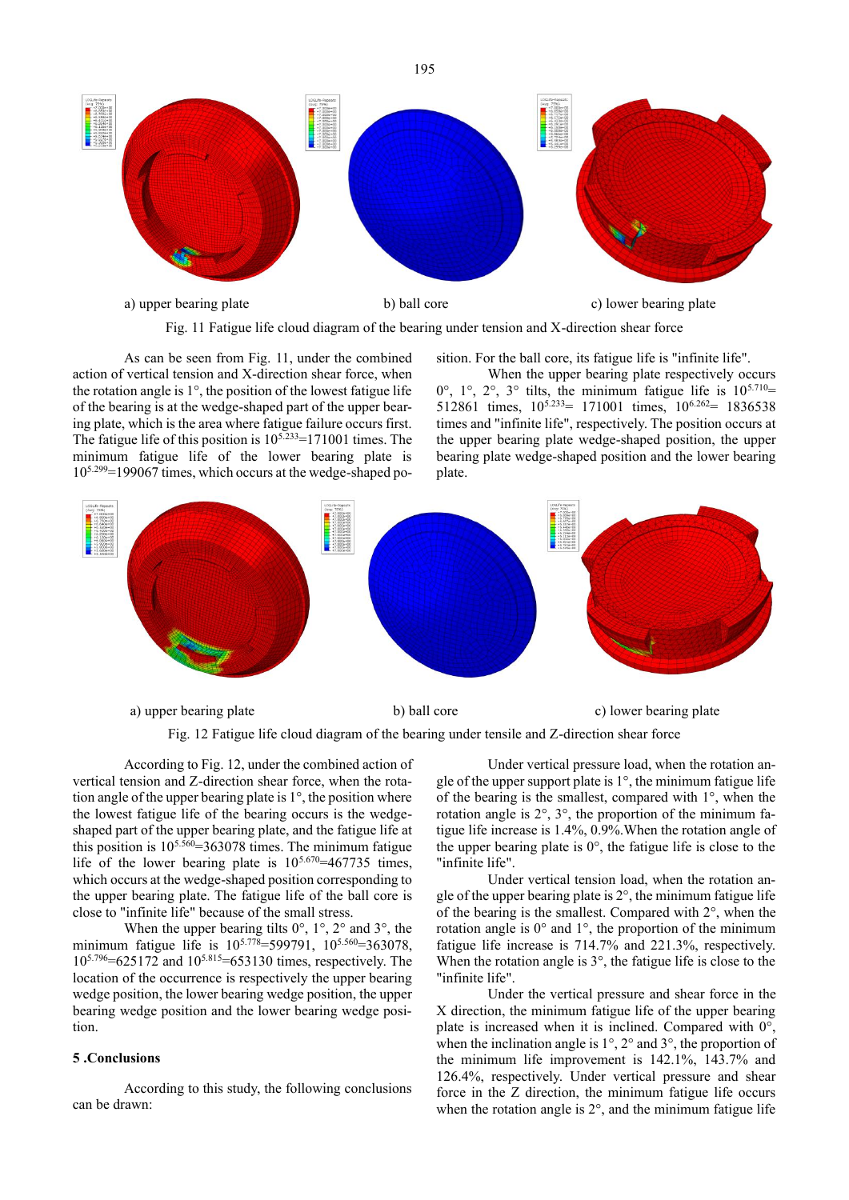

Fig. 11 Fatigue life cloud diagram of the bearing under tension and X-direction shear force

As can be seen from Fig. 11, under the combined action of vertical tension and X-direction shear force, when the rotation angle is  $1^\circ$ , the position of the lowest fatigue life of the bearing is at the wedge-shaped part of the upper bearing plate, which is the area where fatigue failure occurs first. The fatigue life of this position is  $10^{5.233}$ =171001 times. The minimum fatigue life of the lower bearing plate is  $10^{5.299}$ =199067 times, which occurs at the wedge-shaped position. For the ball core, its fatigue life is "infinite life".

When the upper bearing plate respectively occurs  $0^\circ$ ,  $1^\circ$ ,  $2^\circ$ ,  $3^\circ$  tilts, the minimum fatigue life is  $10^{5.710}$ = 512861 times,  $10^{5.233} = 171001$  times,  $10^{6.262} = 1836538$ times and "infinite life", respectively. The position occurs at the upper bearing plate wedge-shaped position, the upper bearing plate wedge-shaped position and the lower bearing plate.



a) upper bearing plate b) ball core

Fig. 12 Fatigue life cloud diagram of the bearing under tensile and Z-direction shear force

According to Fig. 12, under the combined action of vertical tension and Z-direction shear force, when the rotation angle of the upper bearing plate is  $1^\circ$ , the position where the lowest fatigue life of the bearing occurs is the wedgeshaped part of the upper bearing plate, and the fatigue life at this position is  $10^{5.560} = 363078$  times. The minimum fatigue life of the lower bearing plate is  $10^{5.670} = 467735$  times, which occurs at the wedge-shaped position corresponding to the upper bearing plate. The fatigue life of the ball core is close to "infinite life" because of the small stress.

When the upper bearing tilts  $0^\circ$ ,  $1^\circ$ ,  $2^\circ$  and  $3^\circ$ , the minimum fatigue life is  $10^{5.778}$ =599791,  $10^{5.560}$ =363078.  $10^{5.796} = 625172$  and  $10^{5.815} = 653130$  times, respectively. The location of the occurrence is respectively the upper bearing wedge position, the lower bearing wedge position, the upper bearing wedge position and the lower bearing wedge position.

# **5 .Conclusions**

According to this study, the following conclusions can be drawn:

Under vertical pressure load, when the rotation angle of the upper support plate is 1°, the minimum fatigue life of the bearing is the smallest, compared with 1°, when the rotation angle is 2°, 3°, the proportion of the minimum fatigue life increase is 1.4%, 0.9%.When the rotation angle of the upper bearing plate is  $0^\circ$ , the fatigue life is close to the "infinite life".

Under vertical tension load, when the rotation angle of the upper bearing plate is  $2^{\circ}$ , the minimum fatigue life of the bearing is the smallest. Compared with 2°, when the rotation angle is 0° and 1°, the proportion of the minimum fatigue life increase is 714.7% and 221.3%, respectively. When the rotation angle is 3°, the fatigue life is close to the "infinite life".

Under the vertical pressure and shear force in the X direction, the minimum fatigue life of the upper bearing plate is increased when it is inclined. Compared with 0°, when the inclination angle is 1°, 2° and 3°, the proportion of the minimum life improvement is 142.1%, 143.7% and 126.4%, respectively. Under vertical pressure and shear force in the Z direction, the minimum fatigue life occurs when the rotation angle is 2°, and the minimum fatigue life

195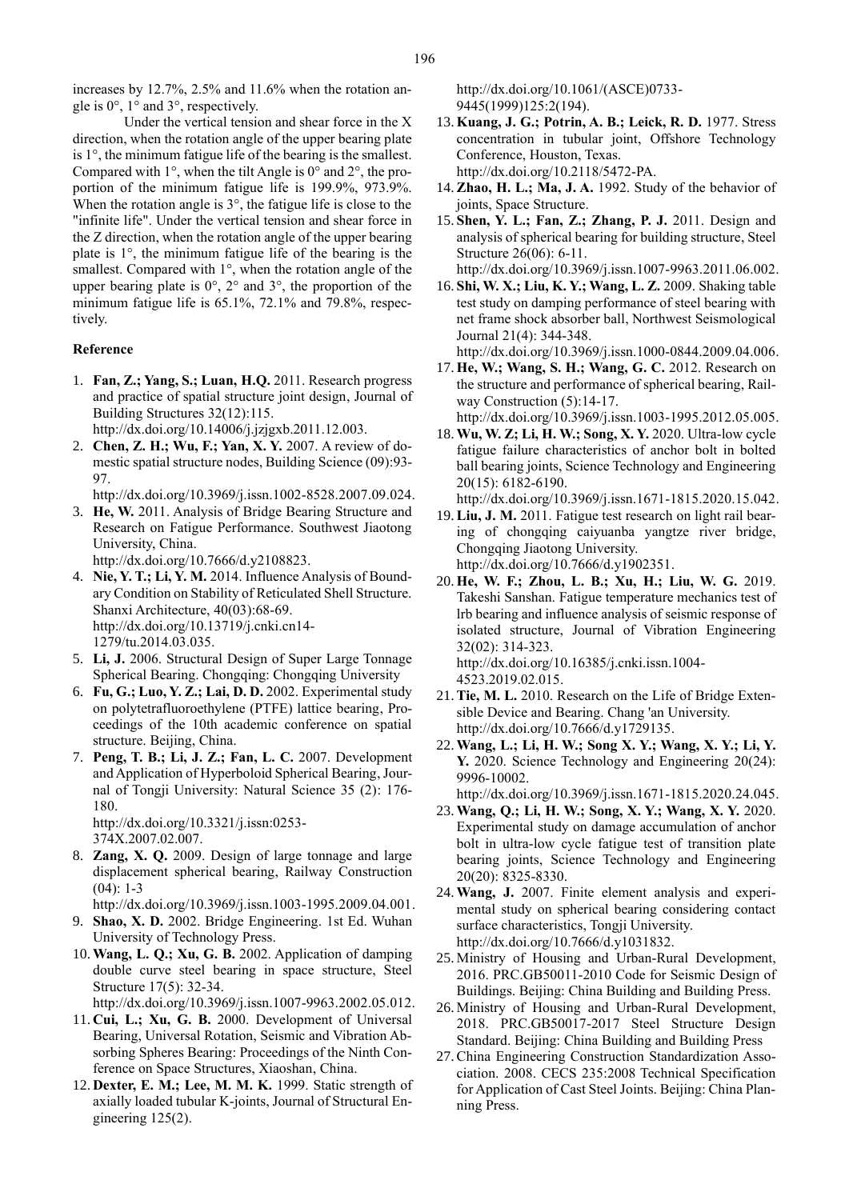increases by 12.7%, 2.5% and 11.6% when the rotation angle is 0°, 1° and 3°, respectively.

Under the vertical tension and shear force in the X direction, when the rotation angle of the upper bearing plate is 1°, the minimum fatigue life of the bearing is the smallest. Compared with  $1^{\circ}$ , when the tilt Angle is  $0^{\circ}$  and  $2^{\circ}$ , the proportion of the minimum fatigue life is 199.9%, 973.9%. When the rotation angle is  $3^\circ$ , the fatigue life is close to the "infinite life". Under the vertical tension and shear force in the Z direction, when the rotation angle of the upper bearing plate is 1°, the minimum fatigue life of the bearing is the smallest. Compared with 1°, when the rotation angle of the upper bearing plate is 0°, 2° and 3°, the proportion of the minimum fatigue life is 65.1%, 72.1% and 79.8%, respectively.

#### **Reference**

- 1. **Fan, Z.; Yang, S.; Luan, H.Q.** 2011. Research progress and practice of spatial structure joint design, Journal of Building Structures 32(12):115. http://dx.doi.org/10.14006/j.jzjgxb.2011.12.003.
- 2. **Chen, Z. H.; Wu, F.; Yan, X. Y.** 2007. A review of domestic spatial structure nodes, Building Science (09):93- 97.

http://dx.doi.org/10.3969/j.issn.1002-8528.2007.09.024.

- 3. **He, W.** 2011. Analysis of Bridge Bearing Structure and Research on Fatigue Performance. Southwest Jiaotong University, China. http://dx.doi.org/10.7666/d.y2108823.
- 4. **Nie, Y. T.; Li, Y. M.** 2014. Influence Analysis of Bound-
- ary Condition on Stability of Reticulated Shell Structure. Shanxi Architecture, 40(03):68-69. http://dx.doi.org/10.13719/j.cnki.cn14- 1279/tu.2014.03.035.
- 5. **Li, J.** 2006. Structural Design of Super Large Tonnage Spherical Bearing. Chongqing: Chongqing University
- 6. **Fu, G.; Luo, Y. Z.; Lai, D. D.** 2002. Experimental study on polytetrafluoroethylene (PTFE) lattice bearing, Proceedings of the 10th academic conference on spatial structure. Beijing, China.
- 7. **Peng, T. B.; Li, J. Z.; Fan, L. C.** 2007. Development and Application of Hyperboloid Spherical Bearing, Journal of Tongji University: Natural Science 35 (2): 176- 180.

http://dx.doi.org/10.3321/j.issn:0253- 374X.2007.02.007.

- 8. **Zang, X. Q.** 2009. Design of large tonnage and large displacement spherical bearing, Railway Construction  $(04): 1-3$
- http://dx.doi.org/10.3969/j.issn.1003-1995.2009.04.001. 9. **Shao, X. D.** 2002. Bridge Engineering. 1st Ed. Wuhan
- University of Technology Press. 10.**Wang, L. Q.; Xu, G. B.** 2002. Application of damping
- double curve steel bearing in space structure, Steel Structure 17(5): 32-34.
- http://dx.doi.org/10.3969/j.issn.1007-9963.2002.05.012. 11. **Cui, L.; Xu, G. B.** 2000. Development of Universal
- Bearing, Universal Rotation, Seismic and Vibration Absorbing Spheres Bearing: Proceedings of the Ninth Conference on Space Structures, Xiaoshan, China.
- 12. **Dexter, E. M.; Lee, M. M. K.** 1999. Static strength of axially loaded tubular K-joints, Journal of Structural Engineering 125(2).

http://dx.doi.org/10.1061/(ASCE)0733- 9445(1999)125:2(194).

- 13. **Kuang, J. G.; Potrin, A. B.; Leick, R. D.** 1977. Stress concentration in tubular joint, Offshore Technology Conference, Houston, Texas. http://dx.doi.org/10.2118/5472-PA.
- 14.**Zhao, H. L.; Ma, J. A.** 1992. Study of the behavior of joints, Space Structure.
- 15. **Shen, Y. L.; Fan, Z.; Zhang, P. J.** 2011. Design and analysis of spherical bearing for building structure, Steel Structure 26(06): 6-11.
- http://dx.doi.org/10.3969/j.issn.1007-9963.2011.06.002. 16. **Shi, W. X.; Liu, K. Y.; Wang, L. Z.** 2009. Shaking table test study on damping performance of steel bearing with net frame shock absorber ball, Northwest Seismological Journal 21(4): 344-348.

http://dx.doi.org/10.3969/j.issn.1000-0844.2009.04.006.

17. **He, W.; Wang, S. H.; Wang, G. C.** 2012. Research on the structure and performance of spherical bearing, Railway Construction (5):14-17.

http://dx.doi.org/10.3969/j.issn.1003-1995.2012.05.005.

- 18.**Wu, W. Z; Li, H. W.; Song, X. Y.** 2020. Ultra-low cycle fatigue failure characteristics of anchor bolt in bolted ball bearing joints, Science Technology and Engineering 20(15): 6182-6190.
- http://dx.doi.org/10.3969/j.issn.1671-1815.2020.15.042. 19.**Liu, J. M.** 2011. Fatigue test research on light rail bearing of chongqing caiyuanba yangtze river bridge, Chongqing Jiaotong University. http://dx.doi.org/10.7666/d.y1902351.
- 20. **He, W. F.; Zhou, L. B.; Xu, H.; Liu, W. G.** 2019. Takeshi Sanshan. Fatigue temperature mechanics test of lrb bearing and influence analysis of seismic response of isolated structure, Journal of Vibration Engineering 32(02): 314-323. http://dx.doi.org/10.16385/j.cnki.issn.1004- 4523.2019.02.015.
- 21.**Tie, M. L.** 2010. Research on the Life of Bridge Extensible Device and Bearing. Chang 'an University. http://dx.doi.org/10.7666/d.y1729135.
- 22.**Wang, L.; Li, H. W.; Song X. Y.; Wang, X. Y.; Li, Y. Y.** 2020. Science Technology and Engineering 20(24): 9996-10002.

http://dx.doi.org/10.3969/j.issn.1671-1815.2020.24.045.

- 23.**Wang, Q.; Li, H. W.; Song, X. Y.; Wang, X. Y.** 2020. Experimental study on damage accumulation of anchor bolt in ultra-low cycle fatigue test of transition plate bearing joints, Science Technology and Engineering 20(20): 8325-8330.
- 24.**Wang, J.** 2007. Finite element analysis and experimental study on spherical bearing considering contact surface characteristics, Tongji University. http://dx.doi.org/10.7666/d.y1031832.
- 25. Ministry of Housing and Urban-Rural Development, 2016. PRC.GB50011-2010 Code for Seismic Design of Buildings. Beijing: China Building and Building Press.
- 26. Ministry of Housing and Urban-Rural Development, 2018. PRC.GB50017-2017 Steel Structure Design Standard. Beijing: China Building and Building Press
- 27.China Engineering Construction Standardization Association. 2008. CECS 235:2008 Technical Specification for Application of Cast Steel Joints. Beijing: China Planning Press.